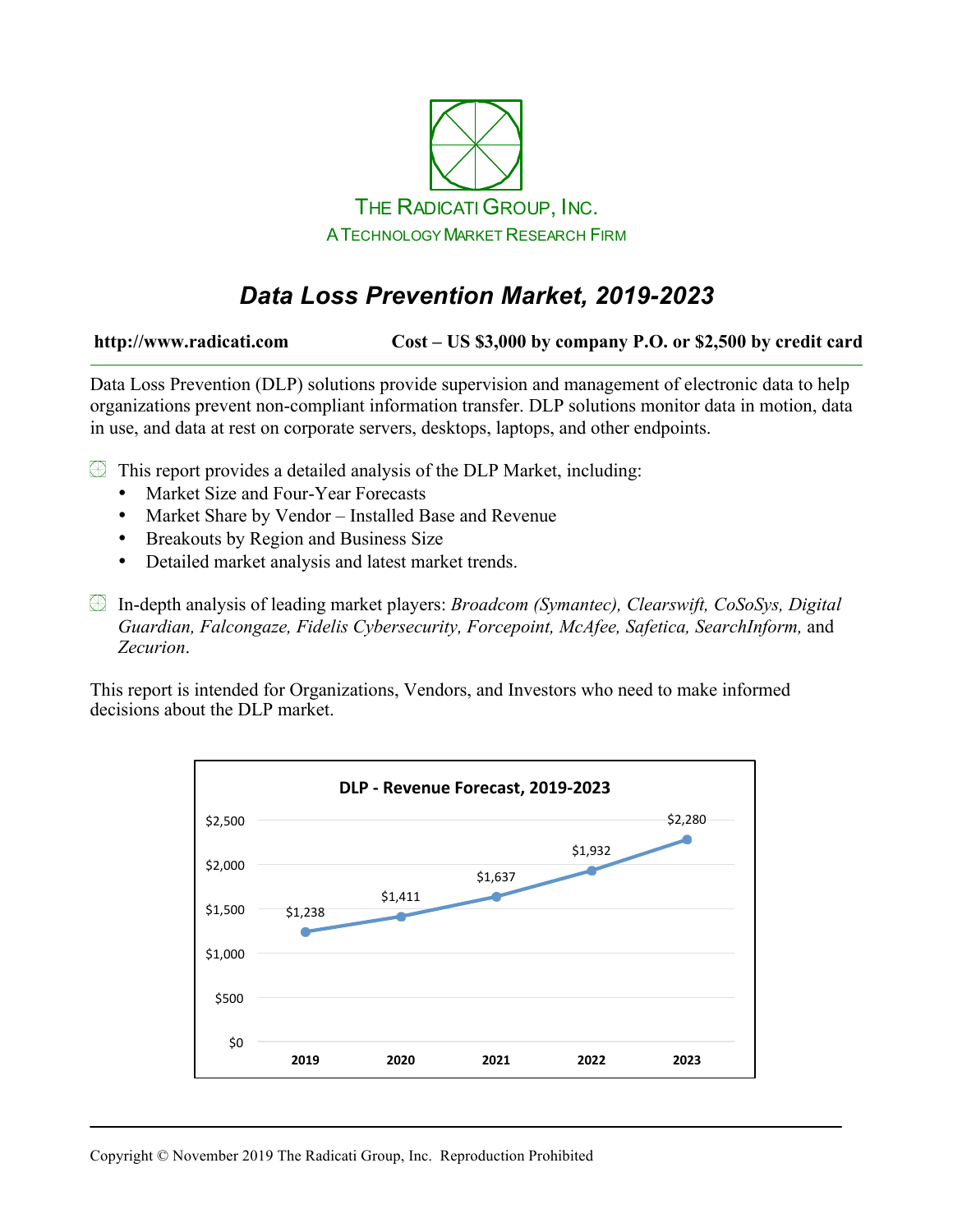

# *Data Loss Prevention Market, 2019-2023*

**http://www.radicati.com Cost – US \$3,000 by company P.O. or \$2,500 by credit card**

Data Loss Prevention (DLP) solutions provide supervision and management of electronic data to help organizations prevent non-compliant information transfer. DLP solutions monitor data in motion, data in use, and data at rest on corporate servers, desktops, laptops, and other endpoints.

- $\circled{1}$  This report provides a detailed analysis of the DLP Market, including:
	- Market Size and Four-Year Forecasts
	- Market Share by Vendor Installed Base and Revenue
	- Breakouts by Region and Business Size
	- Detailed market analysis and latest market trends.
- In-depth analysis of leading market players: *Broadcom (Symantec), Clearswift, CoSoSys, Digital Guardian, Falcongaze, Fidelis Cybersecurity, Forcepoint, McAfee, Safetica, SearchInform,* and *Zecurion*.

This report is intended for Organizations, Vendors, and Investors who need to make informed decisions about the DLP market.

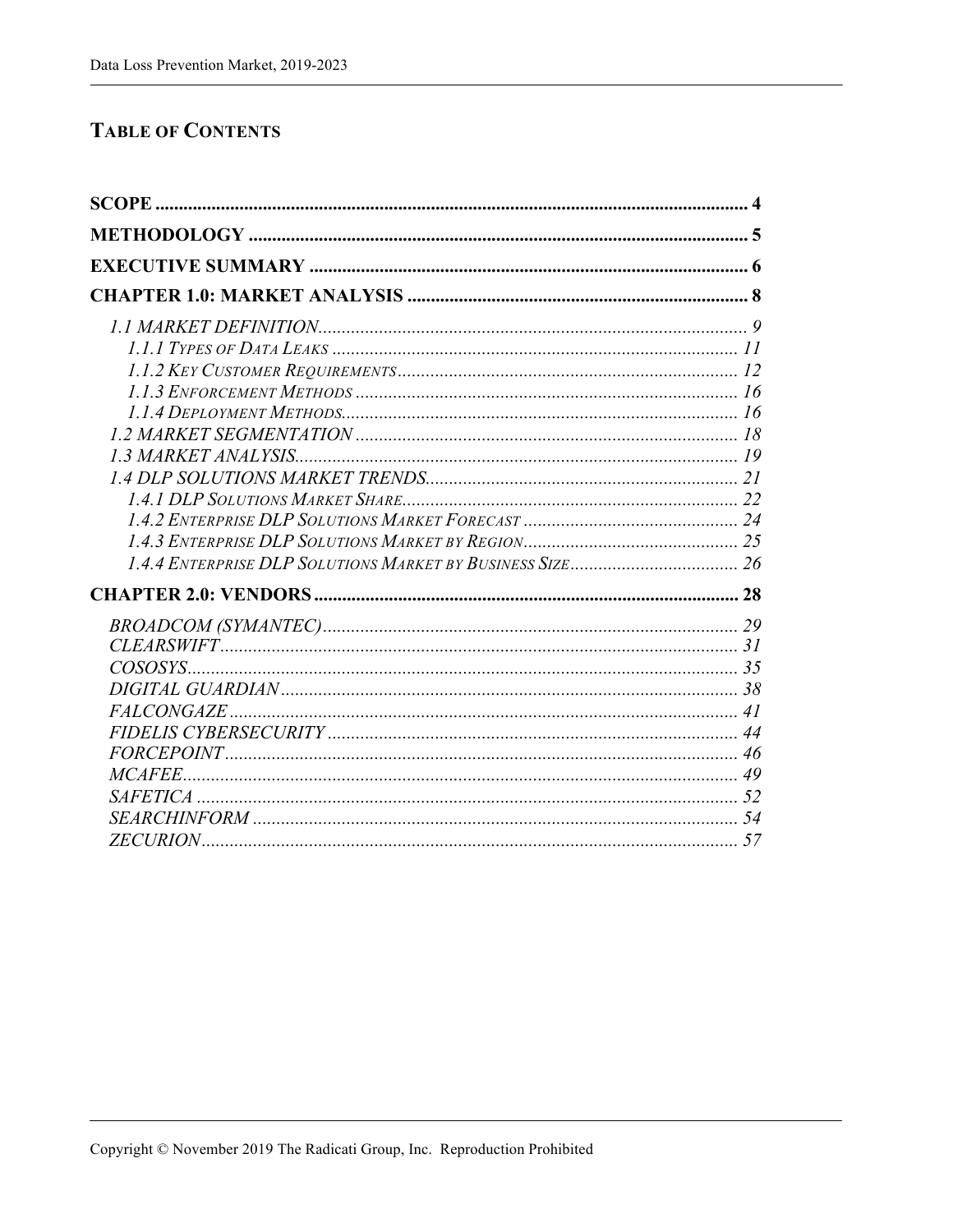### **TABLE OF CONTENTS**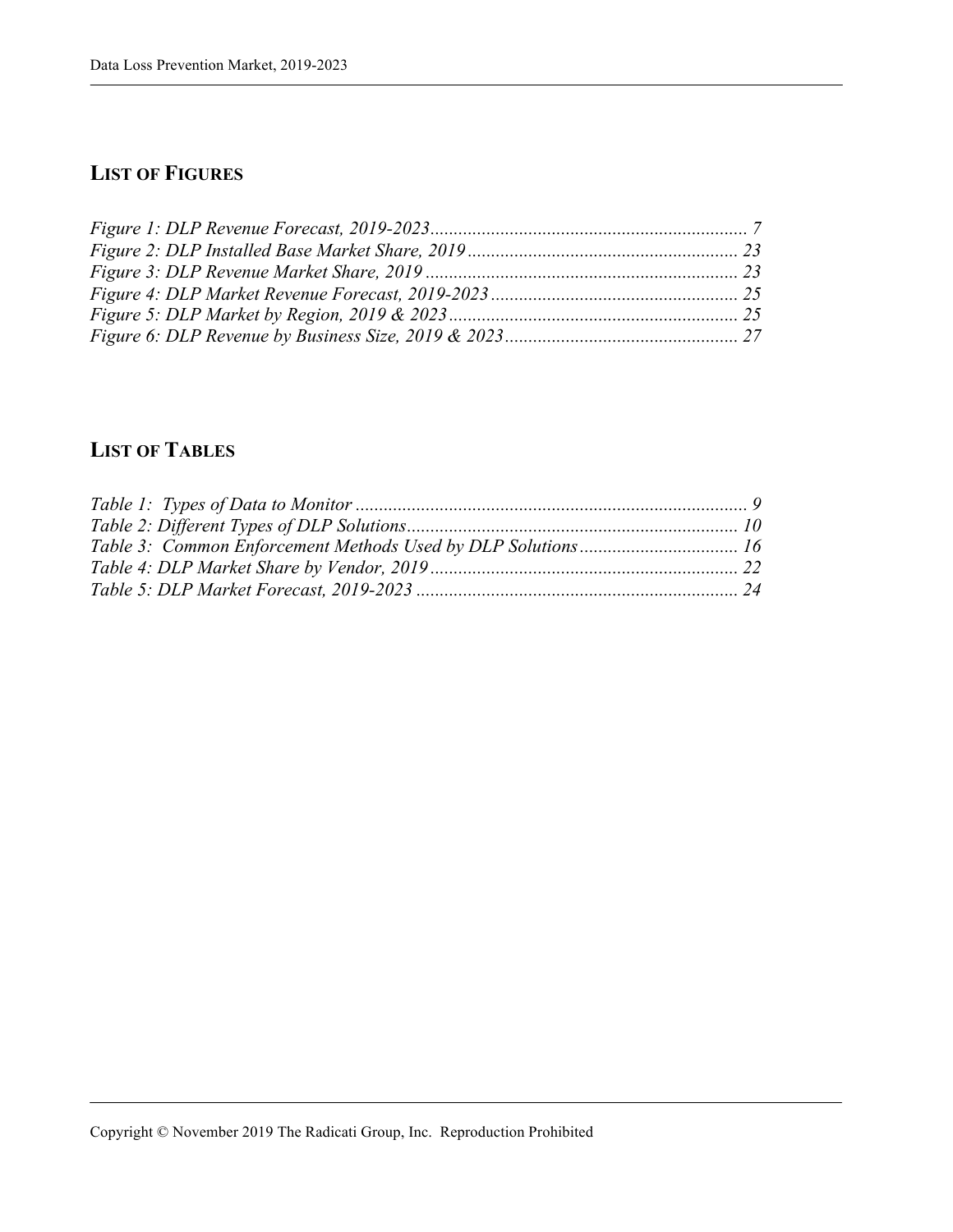### **LIST OF FIGURES**

## **LIST OF TABLES**